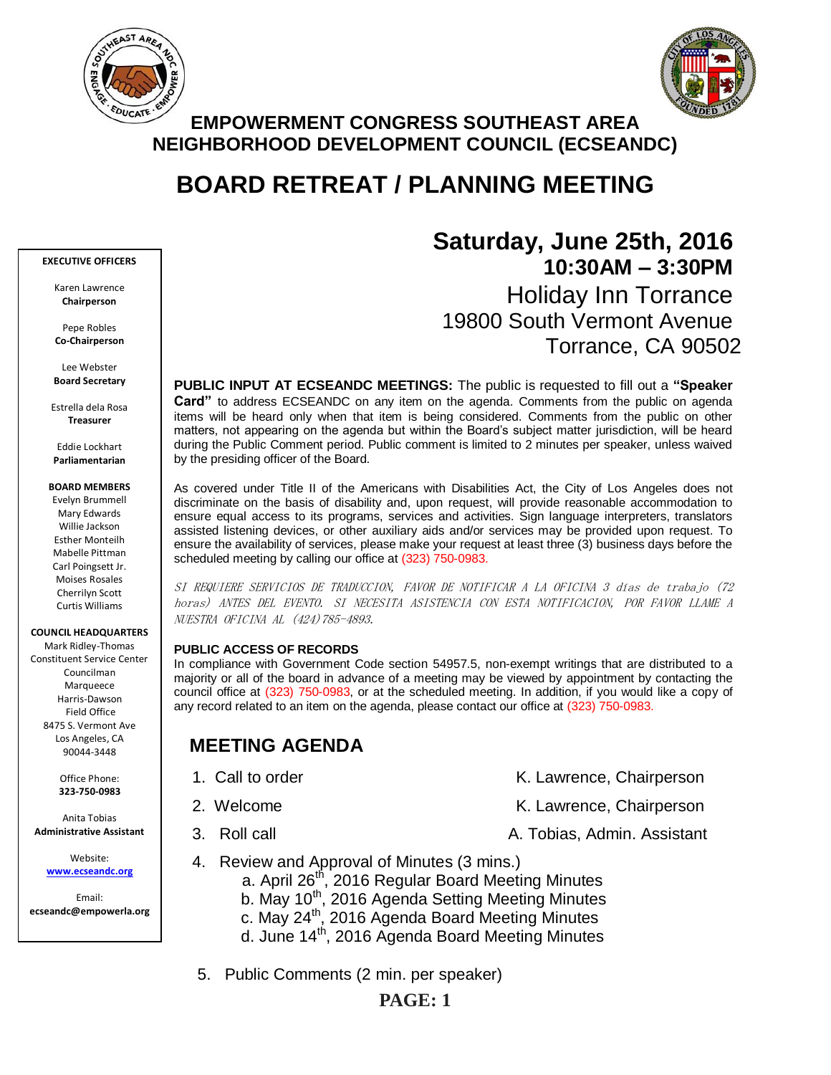



## **EMPOWERMENT CONGRESS SOUTHEAST AREA NEIGHBORHOOD DEVELOPMENT COUNCIL (ECSEANDC)**

# **BOARD RETREAT / PLANNING MEETING**

#### **EXECUTIVE OFFICERS**

Karen Lawrence **Chairperson**

Pepe Robles **Co-Chairperson**

Lee Webster **Board Secretary**

Estrella dela Rosa **Treasurer**

Eddie Lockhart **Parliamentarian**

#### **BOARD MEMBERS**

Evelyn Brummell Mary Edwards Willie Jackson Esther Monteilh Mabelle Pittman Carl Poingsett Jr. Moises Rosales Cherrilyn Scott Curtis Williams

#### **COUNCIL HEADQUARTERS**

Mark Ridley-Thomas Constituent Service Center Councilman Marqueece Harris-Dawson Field Office 8475 S. Vermont Ave Los Angeles, CA 90044-3448

> Office Phone: **323-750-0983**

Anita Tobias **Administrative Assistant**

> Website: **[www.ecseandc.org](http://www.ecseandc.org/)**

Email: **ecseandc@empowerla.org**

# **Saturday, June 25th, 2016 10:30AM – 3:30PM** Holiday Inn Torrance 19800 South Vermont Avenue Torrance, CA 90502

**PUBLIC INPUT AT ECSEANDC MEETINGS:** The public is requested to fill out a **"Speaker Card"** to address ECSEANDC on any item on the agenda. Comments from the public on agenda items will be heard only when that item is being considered. Comments from the public on other matters, not appearing on the agenda but within the Board's subject matter jurisdiction, will be heard during the Public Comment period. Public comment is limited to 2 minutes per speaker, unless waived by the presiding officer of the Board.

As covered under Title II of the Americans with Disabilities Act, the City of Los Angeles does not discriminate on the basis of disability and, upon request, will provide reasonable accommodation to ensure equal access to its programs, services and activities. Sign language interpreters, translators assisted listening devices, or other auxiliary aids and/or services may be provided upon request. To ensure the availability of services, please make your request at least three (3) business days before the scheduled meeting by calling our office at (323) 750-0983.

SI REQUIERE SERVICIOS DE TRADUCCION, FAVOR DE NOTIFICAR A LA OFICINA 3 días de trabajo (72 horas) ANTES DEL EVENTO. SI NECESITA ASISTENCIA CON ESTA NOTIFICACION, POR FAVOR LLAME A NUESTRA OFICINA AL (424)785-4893.

### **PUBLIC ACCESS OF RECORDS**

In compliance with Government Code section 54957.5, non-exempt writings that are distributed to a majority or all of the board in advance of a meeting may be viewed by appointment by contacting the council office at (323) 750-0983, or at the scheduled meeting. In addition, if you would like a copy of any record related to an item on the agenda, please contact our office at (323) 750-0983.

# **MEETING AGENDA**

- 
- 
- 
- 1. Call to order K. Lawrence, Chairperson 2. Welcome **K. Lawrence, Chairperson**
- 3. Roll call A. Tobias, Admin. Assistant
- 4. Review and Approval of Minutes (3 mins.)
	- a. April 26<sup>th</sup>, 2016 Regular Board Meeting Minutes
	- b. May 10<sup>th</sup>, 2016 Agenda Setting Meeting Minutes
	- c. May 24<sup>th</sup>, 2016 Agenda Board Meeting Minutes
	- d. June 14th, 2016 Agenda Board Meeting Minutes
- 5. Public Comments (2 min. per speaker)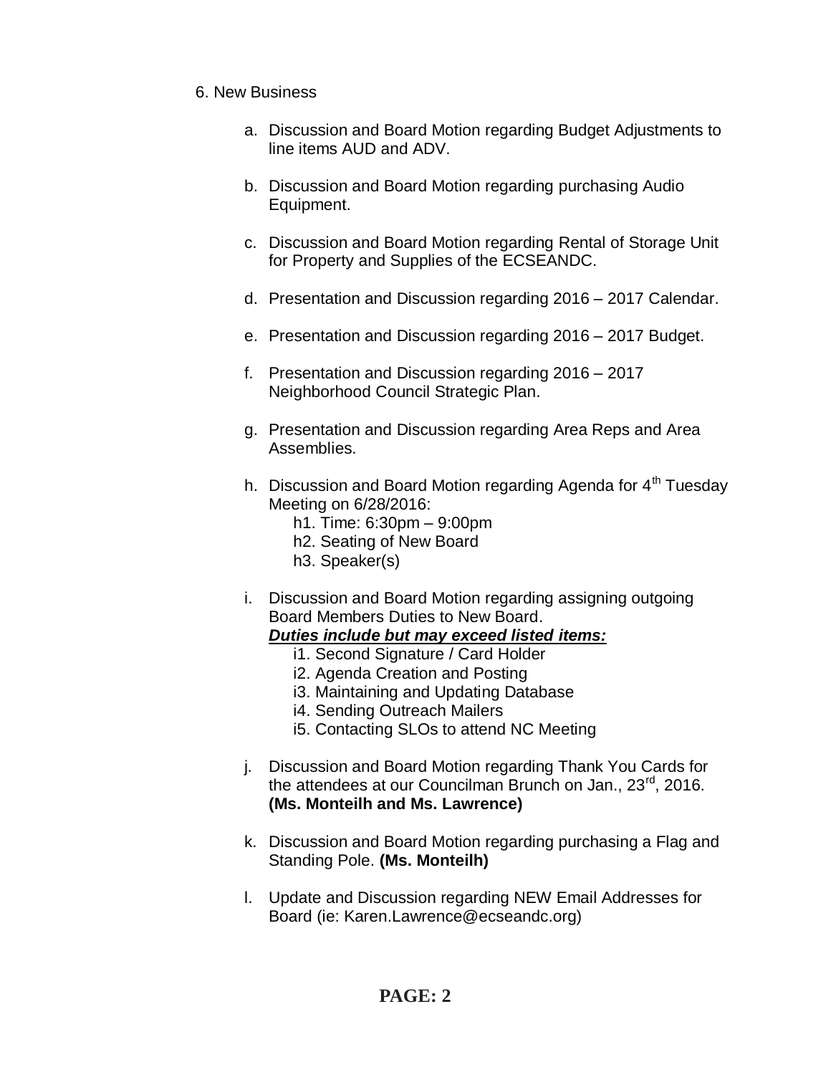## 6. New Business

- a. Discussion and Board Motion regarding Budget Adjustments to line items AUD and ADV.
- b. Discussion and Board Motion regarding purchasing Audio Equipment.
- c. Discussion and Board Motion regarding Rental of Storage Unit for Property and Supplies of the ECSEANDC.
- d. Presentation and Discussion regarding 2016 2017 Calendar.
- e. Presentation and Discussion regarding 2016 2017 Budget.
- f. Presentation and Discussion regarding 2016 2017 Neighborhood Council Strategic Plan.
- g. Presentation and Discussion regarding Area Reps and Area Assemblies.
- h. Discussion and Board Motion regarding Agenda for  $4<sup>th</sup>$  Tuesday Meeting on 6/28/2016:
	- h1. Time: 6:30pm 9:00pm
	- h2. Seating of New Board
	- h3. Speaker(s)
- i. Discussion and Board Motion regarding assigning outgoing Board Members Duties to New Board.

## *Duties include but may exceed listed items:*

- i1. Second Signature / Card Holder
- i2. Agenda Creation and Posting
- i3. Maintaining and Updating Database
- i4. Sending Outreach Mailers
- i5. Contacting SLOs to attend NC Meeting
- j. Discussion and Board Motion regarding Thank You Cards for the attendees at our Councilman Brunch on Jan., 23<sup>rd</sup>, 2016. **(Ms. Monteilh and Ms. Lawrence)**
- k. Discussion and Board Motion regarding purchasing a Flag and Standing Pole. **(Ms. Monteilh)**
- l. Update and Discussion regarding NEW Email Addresses for Board (ie: Karen.Lawrence@ecseandc.org)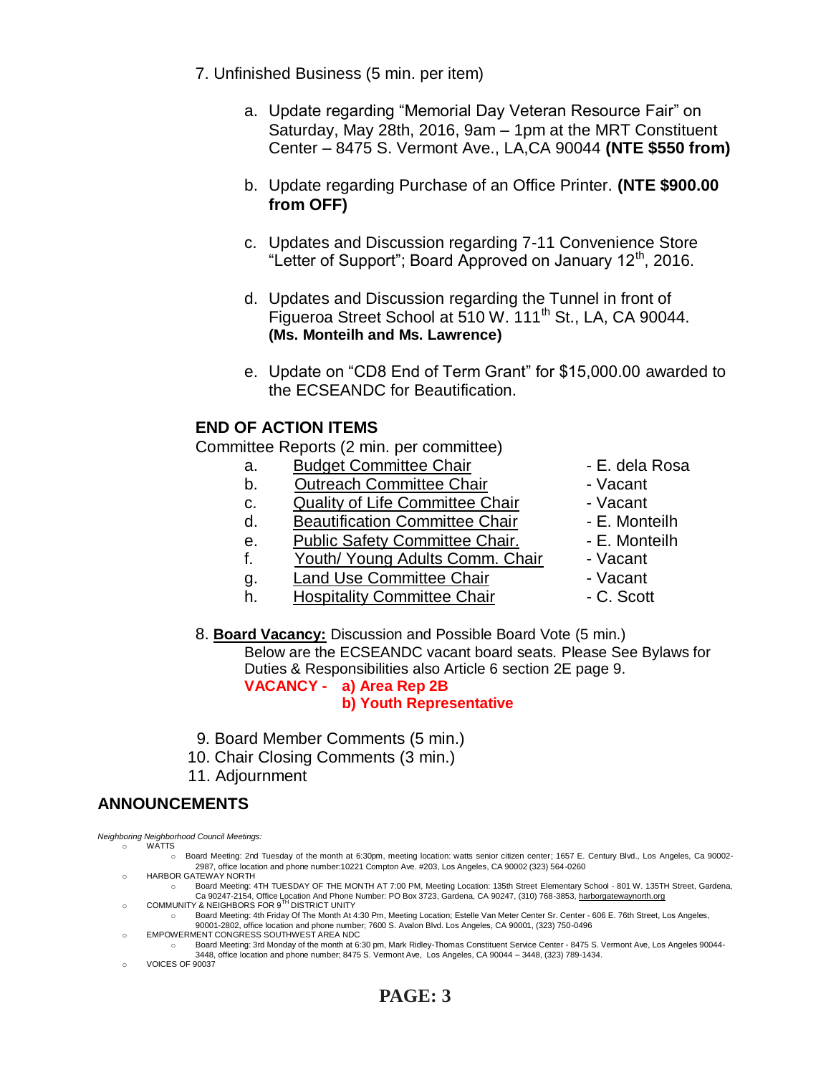- 7. Unfinished Business (5 min. per item)
	- a. Update regarding "Memorial Day Veteran Resource Fair" on Saturday, May 28th, 2016, 9am – 1pm at the MRT Constituent Center – 8475 S. Vermont Ave., LA,CA 90044 **(NTE \$550 from)**
	- b. Update regarding Purchase of an Office Printer. **(NTE \$900.00 from OFF)**
	- c. Updates and Discussion regarding 7-11 Convenience Store "Letter of Support"; Board Approved on January 12<sup>th</sup>, 2016.
	- d. Updates and Discussion regarding the Tunnel in front of Figueroa Street School at 510 W. 111<sup>th</sup> St., LA, CA 90044. **(Ms. Monteilh and Ms. Lawrence)**
	- e. Update on "CD8 End of Term Grant" for \$15,000.00 awarded to the ECSEANDC for Beautification.

## **END OF ACTION ITEMS**

Committee Reports (2 min. per committee)

- a. Budget Committee Chair  **E. dela Rosa**
- b. Outreach Committee Chair **Dans** Vacant
- c. Quality of Life Committee Chair Vacant
- d. Beautification Committee Chair E. Monteilh
- e. Public Safety Committee Chair. E. Monteilh
- f. Youth/ Young Adults Comm. Chair Vacant
- q. Land Use Committee Chair **1988** Vacant
- h. Hospitality Committee Chair  **C. Scott**
- 
- 
- 
- 
- 
- 
- 
- 

8. **Board Vacancy:** Discussion and Possible Board Vote (5 min.) Below are the ECSEANDC vacant board seats. Please See Bylaws for Duties & Responsibilities also Article 6 section 2E page 9.

**VACANCY - a) Area Rep 2B**

**b) Youth Representative**

- 9. Board Member Comments (5 min.)
- 10. Chair Closing Comments (3 min.)
- 11. Adjournment

## **ANNOUNCEMENTS**

*Neighboring Neighborhood Council Meetings:* o WATTS

- o Board Meeting: 2nd Tuesday of the month at 6:30pm, meeting location: watts senior citizen center; 1657 E. Century Blvd., Los Angeles, Ca 90002- 2987, office location and phone number:10221 Compton Ave. #203, Los Angeles, CA 90002 (323) 564-0260
- o HARBOR GATEWAY NORTH
- o Board Meeting: 4TH TUESDAY OF THE MONTH AT 7:00 PM, Meeting Location: 135th Street Elementary School 801 W. 135TH Street, Gardena, Ca 90247-2154, Office Location And Phone Number: PO Box 3723, Gardena, CA 90247, (310) 768-3853, <u>harborgatewaynorth.org وCOMMUNITY & NEIGHBORS FOR 9<sup>™</sup> DISTRICT UNITY</u>
- o Board Meeting: 4th Friday Of The Month At 4:30 Pm, Meeting Location; Estelle Van Meter Center Sr. Center 606 E. 76th Street, Los Angeles,
- 90001-2802, office location and phone number; 7600 S. Avalon Blvd. Los Angeles, CA 90001, (323) 750-0496 EMPOWERMENT CONGRESS SOUTHWEST AREA NDC
	- o Board Meeting: 3rd Monday of the month at 6:30 pm, Mark Ridley-Thomas Constituent Service Center 8475 S. Vermont Ave, Los Angeles 90044- 3448, office location and phone number; 8475 S. Vermont Ave, Los Angeles, CA 90044 – 3448, (323) 789-1434.
- o VOICES OF 90037